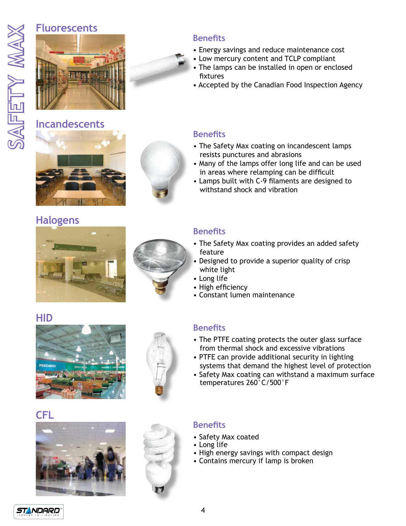# **Fluorescents**



## **Incandescents**





### **Benefits**

- Energy savings and reduce maintenance cost
- Low mercury content and TCLP compliant
- The lamps can be installed in open or enclosed fixtures
- Accepted by the Canadian Food Inspection Agency

#### **Benefits**

- The Safety Max coating on incandescent lamps resists punctures and abrasions
- Many of the lamps offer long life and can be used in areas where relamping can be difficult
- Lamps built with C-9 filaments are designed to withstand shock and vibration

# **Halogens**





### **Benefits**

- The Safety Max coating provides an added safety feature
- Designed to provide a superior quality of crisp white light
- Long life
- High efficiency
- Constant lumen maintenance

## **HID**





### **Benefits**

- The PTFE coating protects the outer glass surface from thermal shock and excessive vibrations
- PTFE can provide additional security in lighting systems that demand the highest level of protection
- Safety Max coating can withstand a maximum surface temperatures 260°C/500°F







## **Benefits**

- Safety Max coated
- Long life
- High energy savings with compact design
- Contains mercury if lamp is broken